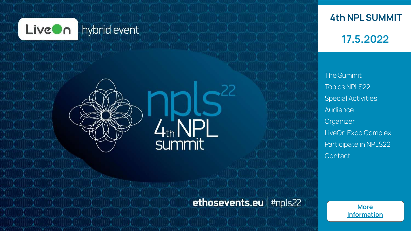

# hybrid event



**4th NPL SUMMIT**

## **17.5.2022**

[The Summit](#page-1-0) [Topics NPLS22](#page-2-0) [Special Activities](#page-3-0) [Audience](#page-4-0) **[Organizer](#page-5-0)** [LiveOn Expo Complex](#page-7-0) [Participate in NPLS22](#page-9-0) **[Contact](#page-10-0)** 

# ethosevents.eu | #npls22

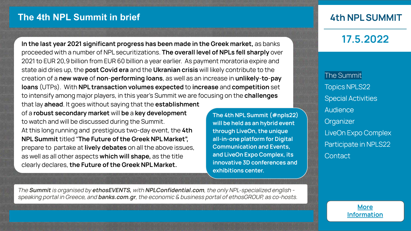### <span id="page-1-0"></span>**The 4th NPL Summit in brief**

**In the last year 2021 significant progress has been made in the Greek market,** as banks proceeded with a number of NPL securitizations. **The overall level of NPLs fell sharply** over 2021 to EUR 20,9 billion from EUR 60 billion a year earlier. As payment moratoria expire and state aid dries up, the **post Covid era** and the **Ukranian crisis** will likely contribute to the creation of a **new wave** of **non**-**performing loans**, as well as an increase in **unlikely**-**to**-**pay loans** (UTPs). With **NPL transaction volumes expected** to **increase** and **competition** set to intensify among major players, in this year's Summit we are focusing on the **challenges**  that lay **ahead**. It goes without saying that the **establishment** 

of a **robust secondary market** will **be** a **key development**  to watch and will be discussed during the Summit. At this long running and prestigious two-day event, the **4th NPL Summit** titled "**The Future of the Greek NPL Market",**  prepare to partake at **lively debates** on all the above issues, as well as all other aspects **which will shape,** as the title clearly declares, **the Future of the Greek NPL Market.**

**The 4th NPL Summit (#npls22) will be held as an hybrid event through LiveOn, the unique all-in-one platform for Digital Communication and Events, and LiveOn Expo Complex, its innovative 3D conferences and exhibitions center.**

**4th NPL SUMMIT**

**17.5.2022**

The Summit [Topics NPLS22](#page-2-0) [Special Activities](#page-3-0) **[Audience](#page-4-0) [Organizer](#page-5-0)** [LiveOn Expo Complex](#page-7-0) [Participate in NPLS22](#page-9-0) **[Contact](#page-10-0)** 

The **Summit** is organised by **ethosEVENTS,** with **NPLConfidential.com**, the only NPL-specialized english speaking portal in Greece, and **banks.com.gr**, the economic & business portal of ethosGROUP, as co-hosts.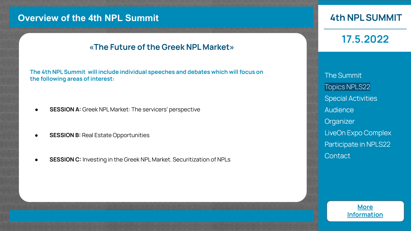### <span id="page-2-0"></span>**Overview of the 4th NPL Summit**

### **«The Future of the Greek NPL Market»**

**The 4th NPL Summit will include individual speeches and debates which will focus on the following areas of interest:** 

- **SESSION A:** Greek NPL Market: The servicers' perspective
- **SESSION B: Real Estate Opportunities**
- **SESSION C:** Investing in the Greek NPL Market. Securitization of NPLs

### **4th NPL SUMMIT**

**17.5.2022**

[The Summit](#page-1-0) Topics NPLS22 [Special Activities](#page-3-0) **[Audience](#page-4-0) [Organizer](#page-5-0)** [LiveOn Expo Complex](#page-7-0) [Participate in NPLS22](#page-9-0) **[Contact](#page-10-0)**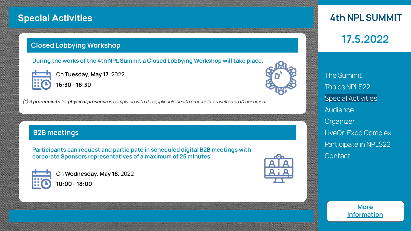### <span id="page-3-0"></span>**Special Activities**

### **Closed Lobbying Workshop**

**During the works of the 4th NPL Summit a Closed Lobbying Workshop will take place.** 



On **Tuesday**, **May 17**, 2022 **16:30 - 18:30**

(\*) A **prerequisite** for **physical presence** is complying with the applicable health protocols, as well as an **ID** document.

### **B2B meetings**

**Participants can request and participate in scheduled digital B2B meetings with corporate Sponsors representatives of a maximum of 25 minutes.** 



On **Wednesday**, **May 18**, 2022 **10:00 - 18:00**



**4th NPL SUMMIT**

**17.5.2022**

[The Summit](#page-1-0) [Topics NPLS22](#page-2-0) Special Activities **[Audience](#page-4-0) [Organizer](#page-5-0)** [LiveOn Expo Complex](#page-7-0) [Participate in NPLS22](#page-9-0) **[Contact](#page-10-0)** 

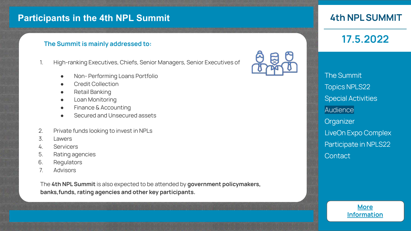### <span id="page-4-0"></span>**Participants in the 4th NPL Summit**

### **The Summit is mainly addressed to:**

- 1. High-ranking Executives, Chiefs, Senior Managers, Senior Executives of
	- Non-Performing Loans Portfolio
	- Credit Collection
	- Retail Banking
	- Loan Monitoring
	- Finance & Accounting
	- Secured and Unsecured assets
- 2. Private funds looking to invest in NPLs
- 3. Lawers
- 4. Servicers
- 5. Rating agencies
- 6. Regulators
- 7. Advisors

The 4th NPL Summit is also expected to be attended by **government policymakers**, **banks,funds, rating agencies and other key participants.** 



### **4th NPL SUMMIT**

**17.5.2022**

[The Summit](#page-1-0) [Topics NPLS22](#page-2-0) [Special Activities](#page-3-0) **Audience [Organizer](#page-5-0)** [LiveOn Expo Complex](#page-7-0) [Participate in NPLS22](#page-9-0) **[Contact](#page-10-0)** 

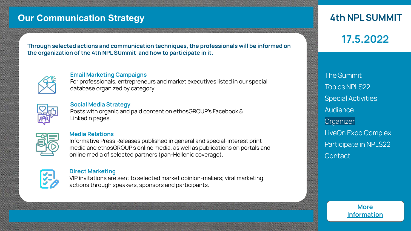### <span id="page-5-0"></span>**Our Communication Strategy**

**Through selected actions and communication techniques, the professionals will be informed on the organization of the 4th NPL SUmmit and how to participate in it.**



#### **Email Marketing Campaigns**

For professionals, entrepreneurs and market executives listed in our special database organized by category.



#### **Social Media Strategy**

Posts with organic and paid content on ethosGROUP's Facebook & LinkedIn pages.



#### **Media Relations**

Informative Press Releases published in general and special-interest print media and ethosGROUP's online media, as well as publications on portals and online media of selected partners (pan-Hellenic coverage).



#### **Direct Marketing**

VIP invitations are sent to selected market opinion-makers; viral marketing actions through speakers, sponsors and participants.

### **4th NPL SUMMIT**

**17.5.2022**

[The Summit](#page-1-0) [Topics NPLS22](#page-2-0) [Special Activities](#page-3-0) **[Audience](#page-4-0) Organizer** [LiveOn Expo Complex](#page-7-0) [Participate in NPLS22](#page-9-0) **[Contact](#page-10-0)** 

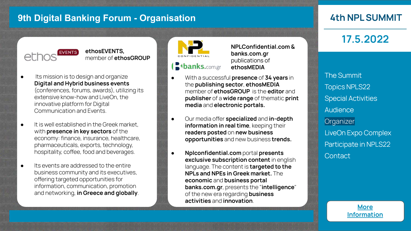### **9th Digital Banking Forum - Organisation**

### **4th NPL SUMMIT**



**ethosEVENTS,**  member of **ethosGROUP**

- Its mission is to design and organize **Digital and Hybrid business events**  (conferences, forums, awards), utilizing its extensive know-how and LiveOn, the innovative platform for Digital Communication and Events.
- It is well established in the Greek market. with **presence in key sectors** of the economy: finance, insurance, healthcare, pharmaceuticals, exports, technology, hospitality, coffee, food and beverages.
- Its events are addressed to the entire business community and its executives, offering targeted opportunities for information, communication, promotion and networking, **in Greece and globally**.

**B banks.com.gr** 

- **NPLConfidential.com & banks.com.gr** publications of **ethosMEDIA**
- With a successful **presence** of **34 years** in the **publishing sector**, **ethosMEDIA** member of **ethosGROUP** is the **editor** and **publisher** of a **wide range** of thematic **print media** and **electronic portals.**
- $\bullet$  Our media offer **specialized** and **in-depth information in real time**, keeping their **readers posted** on **new business opportunities** and new business **trends.**
- **Nplconfidential.com** portal **presents exclusive subscription content** in english language. The content is **targeted to the NPLs and NPEs in Greek market.** The **economic** and **business portal banks.com.gr**, presents the "**intelligence**" of the new era regarding **business activities** and **innovation**.

**17.5.2022**

[The Summit](#page-1-0) [Topics NPLS22](#page-2-0) [Special Activities](#page-3-0) **[Audience](#page-4-0) [Organizer](#page-5-0)** [LiveOn Expo Complex](#page-7-0) [Participate in NPLS22](#page-9-0) **[Contact](#page-10-0)**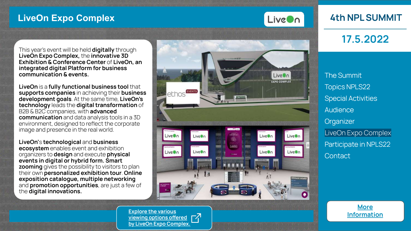### <span id="page-7-0"></span>**LiveOn Expo Complex**



### **4th NPL SUMMIT**

**17.5.2022**

This year's event will be held **digitally** through **LiveOn Expo Complex,** the **innovative 3D Exhibition & Conference Center** of **LiveOn, an integrated digital Platform for business communication & events.** 

**LiveOn** is a **fully functional business tool** that **supports companies** in achieving their **business development goals**. At the same time, **LiveOn's technology** leads the **digital transformation** of B2B & B2C companies, with **advanced communication** and data analysis tools in a 3D environment, designed to reflect the corporate image and presence in the real world.

**LiveOn'**s **technological** and **business ecosystem** enables event and exhibition organizers to **design** and execute **physical events in digital or hybrid form. Smart zooming** gives the possibility to visitors to plan their own **personalized exhibition tour**. **Online exposition catalogue, multiple networking** and **promotion opportunities**, are just a few of the **digital innovations.**



**[Explore the various](https://vimeo.com/555626356) viewing options offered**  $\sqrt{ }$ **[by LiveOn Expo Complex.](https://ethos-group.eu/wp-content/uploads/2021/10/Sponsors_Branding_Guide_3D_210929.pdf)**

[Topics NPLS22](#page-2-0) [Special Activities](#page-3-0) **[Audience](#page-4-0) [Organizer](#page-5-0)** LiveOn Expo Complex [Participate in NPLS22](#page-9-0) **[Contact](#page-10-0)** 

[The Summit](#page-1-0)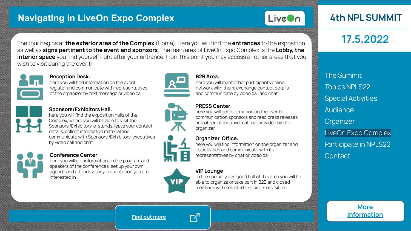### **Navigating in LiveOn Expo Complex**



### **4th NPL SUMMIT**

**17.5.2022**

The tour begins at **the exterior area of the Complex** (Home). Here you will find the **entrances** to the exposition as well as **signs pertinent to the event and sponsors**. The main area of LiveOn Expo Complex is the **Lobby, the interior space** you find yourself right after your entrance. From this point you may access all other areas that you wish to visit during the event:



#### **Reception Desk**:

here you will find information on the event, register and communicate with representatives of the organizer by text message or video call



#### **Sponsors/Exhibitors Hall**:

here you will find the exposition halls of the Complex, where you will be able to visit the Sponsors'/Exhibitors' e-stands, leave your contact details, collect informative material and communicate with Sponsors'/Exhibitors' executives by video call and chat



#### **Conference Center**:

here you will get information on the program and speakers of the conferences, set up your own agenda and attend live any presentation you are interested in







**B2B Area**:

here you will meet other participants online, network with them, exchange contact details and communicate by video call and chat.

#### **PRESS Center**:

here you will get information on the event's communication sponsors and read press releases and other informative material provided by the organizer

#### **Organizer Office:**

here you will find information on the organizer and its activities and communicate with its representatives by chat or video call

#### **VIP Lounge**:

in the specially designed hall of this area you will be able to organize or take part in B2B and closed meetings with selected exhibitors or visitors

# [The Summit](#page-1-0) [Topics NPLS22](#page-2-0) [Special Activities](#page-3-0) **[Audience](#page-4-0) [Organizer](#page-5-0)**

[LiveOn Expo Complex](#page-7-0) [Participate in NPLS22](#page-9-0) **[Contact](#page-10-0)** 



**[Find out more](https://liveon.tech/)**



吖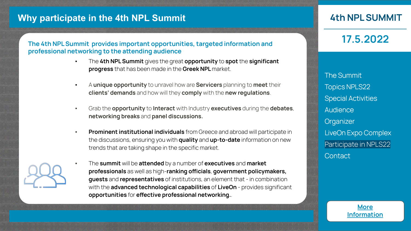### <span id="page-9-0"></span>**Why participate in the 4th NPL Summit**

#### **The 4th NPL Summit provides important opportunities, targeted information and** professional networking to the attending audience

- The **4th NPL Summit** gives the great **opportunity** to **spot** the **significant progress** that has been made in the **Greek NPL** market.
- A **unique opportunity** to unravel how are **Servicers** planning to **meet** their **clients' demands** and how will they **comply** with the **new regulations**.
- Grab the **opportunity** to **Interact** with Industry **executives** during the **debates**, **networking breaks** and **panel discussions.**
- **Prominent institutional individuals** from Greece and abroad will participate in the discussions, ensuring you with **quality** and **up-to-date** information on new trends that are taking shape in the specific market.
	- The **summit** will be **attended** by a number of **executives** and **market professionals** as well as high-ranking officials, government policymakers, **guests** and **representatives** of institutions, an element that - in combination with the **advanced technological capabilities** of **LiveOn** - provides significant **opportunities for effective professional networking..**

### **4th NPL SUMMIT**

**17.5.2022**

[The Summit](#page-1-0) [Topics NPLS22](#page-2-0) [Special Activities](#page-3-0) **[Audience](#page-4-0) [Organizer](#page-5-0)** [LiveOn Expo Complex](#page-7-0) Participate in NPLS22 **[Contact](#page-10-0)** 

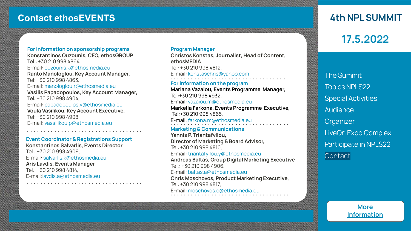### <span id="page-10-0"></span>**Contact ethosEVENTS**

**For information on sponsorship programs Κonstantinos Ouzounis, CEO, ethosGROUP** Tel.: +30 210 998 4864, E-mail: ouzounis.k@ethosmedia.eu **Ranto Manologlou, Key Account Manager,** Tel: +30 210 998 4863, E-mail: manologlou.r@ethosmedia.eu **Vasilis Papadopoulos, Key Account Manager,**  Tel: +30 210 998 4904, E-mail: papadopoulos.v@ethosmedia.eu **Voula Vasilikou, Key Account Executive,**  Tel: +30 210 998 4908, E-mail: vassilikou.p@ethosmedia.eu

#### **Event Coordinator & Registrations Support**

**Konstantinos Salvarlis, Events Director** Tel.: +30 210 998 4909, E-mail: salvarlis.k@ethosmedia.eu **Aris Lavdis, Events Manager**

Tel.: +30 210 998 4814, E-mail:lavdis.a@ethosmedia.eu

#### **Program Manager**

**Christos Konstas, Journalist, Head of Content, ethosMEDIA** Tel: +30 210 998 4812, E-mail: konstaschris@yahoo.com

**For information on the program Mariana Vazaiou, Events Programme Manager,** Tel:+30 210 998 4932, E-mail: vazaiou.m@ethosmedia.eu **Markella Farkona, Events Programme Executive,** Tel:+30 210 998 4865,

E-mail: farkona.m@ethosmedia.eu

#### **Marketing & Communications**

**Yannis P. Triantafyllou, Director of Marketing & Board Advisor,**  Tel: +30 210 998 4810,

#### E-mail: triantafyllou.y@ethosmedia.eu

**Andreas Baltas, Group Digital Marketing Executive** Tel.: +30 210 998 4906, E-mail: baltas.a@ethosmedia.eu **Chris Moschovos, Product Marketing Executive,** Tel: +30 210 998 4817, E-mail: moschovos.c@ethosmedia.eu

### **4th NPL SUMMIT**

### **17.5.2022**

[The Summit](#page-1-0) [Topics NPLS22](#page-2-0) [Special Activities](#page-3-0) **[Audience](#page-4-0) [Organizer](#page-5-0)** [LiveOn Expo Complex](#page-7-0) [Participate in NPLS22](#page-9-0) **Contact**